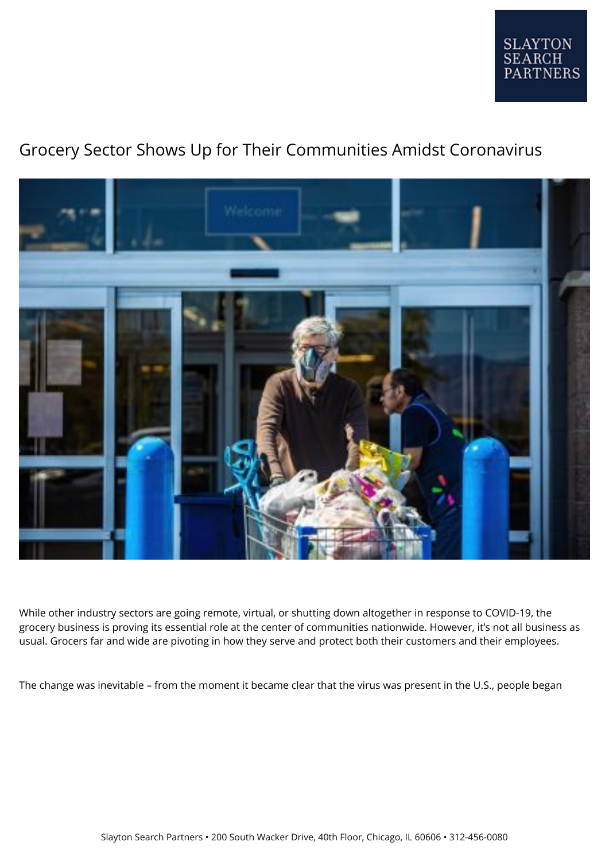

## Grocery Sector Shows Up for Their Communities Amidst Coronavirus



While other industry sectors are going remote, virtual, or shutting down altogether in response to COVID-19, the grocery business is proving its essential role at the center of communities nationwide. However, it's not all business as usual. Grocers far and wide are pivoting in how they serve and protect both their customers and their employees.

The change was inevitable – from the moment it became clear that the virus was present in the U.S., people began